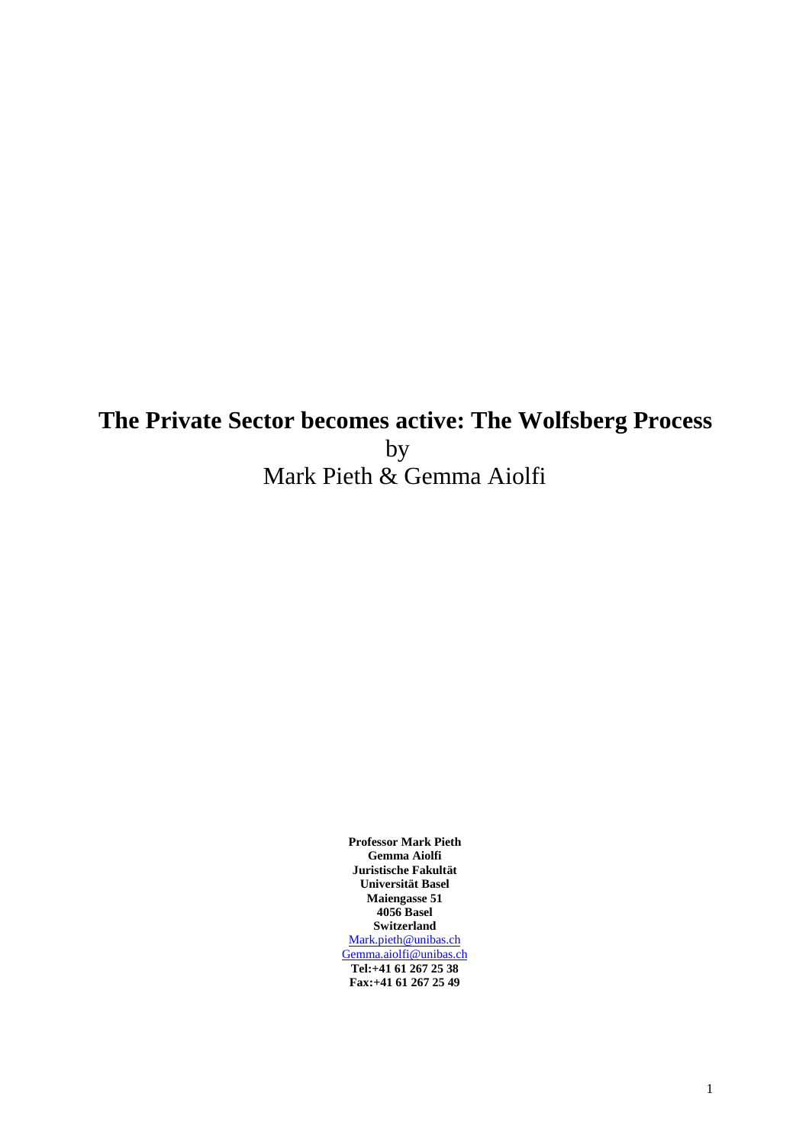# **The Private Sector becomes active: The Wolfsberg Process** by Mark Pieth & Gemma Aiolfi

**Professor Mark Pieth Gemma Aiolfi Juristische Fakultät Universität Basel Maiengasse 51 4056 Basel Switzerland** [Mark.pieth@unibas.ch](mailto:Mark.pieth@unibas.ch) [Gemma.aiolfi@unibas.ch](mailto:Gemma.aiolfi@unibas.ch) **Tel:+41 61 267 25 38 Fax:+41 61 267 25 49**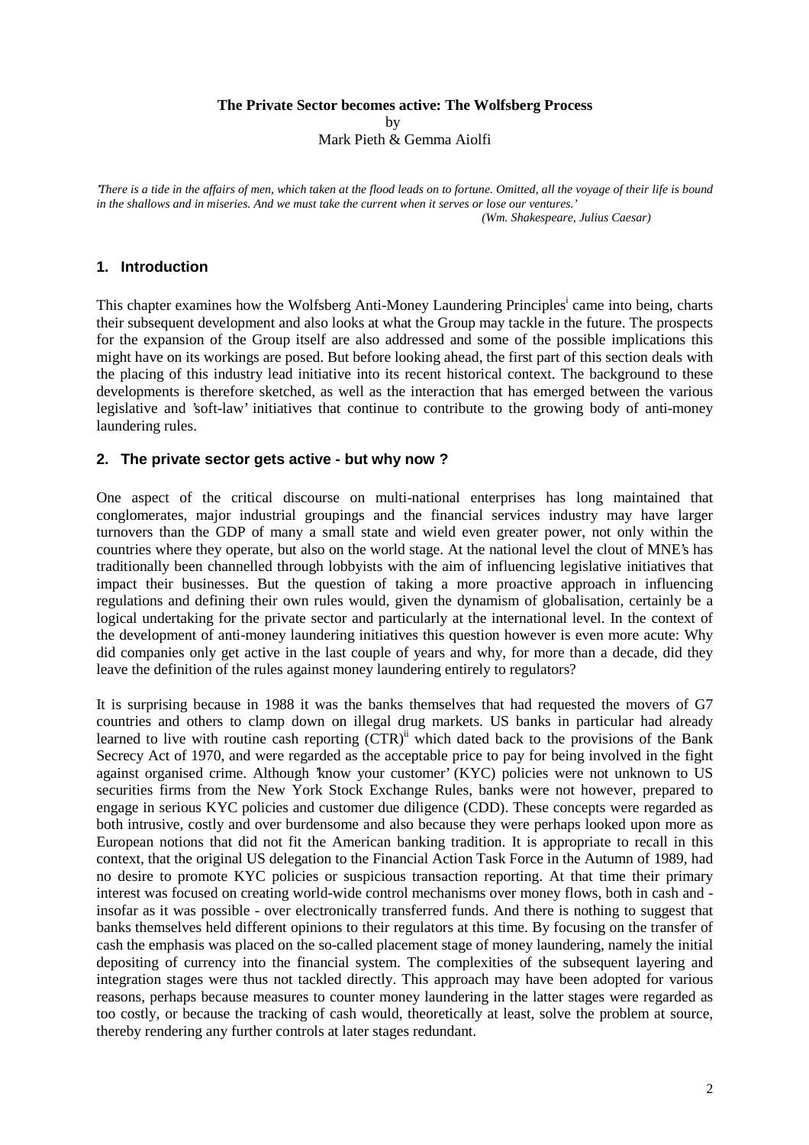#### **The Private Sector becomes active: The Wolfsberg Process**

by

Mark Pieth & Gemma Aiolfi

*'There is a tide in the affairs of men, which taken at the flood leads on to fortune. Omitted, all the voyage of their life is bound in the shallows and in miseries. And we must take the current when it serves or lose our ventures.' (Wm. Shakespeare, Julius Caesar)*

#### **1. Introduction**

This chapter examines how the Wolfsberg Anti-Money Laundering Principles<sup>i</sup> came into being, charts their subsequent development and also looks at what the Group may tackle in the future. The prospects for the expansion of the Group itself are also addressed and some of the possible implications this might have on its workings are posed. But before looking ahead, the first part of this section deals with the placing of this industry lead initiative into its recent historical context. The background to these developments is therefore sketched, as well as the interaction that has emerged between the various legislative and 'soft-law' initiatives that continue to contribute to the growing body of anti-money laundering rules.

#### **2. The private sector gets active - but why now ?**

One aspect of the critical discourse on multi-national enterprises has long maintained that conglomerates, major industrial groupings and the financial services industry may have larger turnovers than the GDP of many a small state and wield even greater power, not only within the countries where they operate, but also on the world stage. At the national level the clout of MNE's has traditionally been channelled through lobbyists with the aim of influencing legislative initiatives that impact their businesses. But the question of taking a more proactive approach in influencing regulations and defining their own rules would, given the dynamism of globalisation, certainly be a logical undertaking for the private sector and particularly at the international level. In the context of the development of anti-money laundering initiatives this question however is even more acute: Why did companies only get active in the last couple of years and why, for more than a decade, did they leave the definition of the rules against money laundering entirely to regulators?

It is surprising because in 1988 it was the banks themselves that had requested the movers of G7 countries and others to clamp down on illegal drug markets. US banks in particular had already learned to live with routine cash reporting  $(CTR)^{ii}$  which dated back to the provisions of the Bank Secrecy Act of 1970, and were regarded as the acceptable price to pay for being involved in the fight against organised crime. Although 'know your customer' (KYC) policies were not unknown to US securities firms from the New York Stock Exchange Rules, banks were not however, prepared to engage in serious KYC policies and customer due diligence (CDD). These concepts were regarded as both intrusive, costly and over burdensome and also because they were perhaps looked upon more as European notions that did not fit the American banking tradition. It is appropriate to recall in this context, that the original US delegation to the Financial Action Task Force in the Autumn of 1989, had no desire to promote KYC policies or suspicious transaction reporting. At that time their primary interest was focused on creating world-wide control mechanisms over money flows, both in cash and insofar as it was possible - over electronically transferred funds. And there is nothing to suggest that banks themselves held different opinions to their regulators at this time. By focusing on the transfer of cash the emphasis was placed on the so-called placement stage of money laundering, namely the initial depositing of currency into the financial system. The complexities of the subsequent layering and integration stages were thus not tackled directly. This approach may have been adopted for various reasons, perhaps because measures to counter money laundering in the latter stages were regarded as too costly, or because the tracking of cash would, theoretically at least, solve the problem at source, thereby rendering any further controls at later stages redundant.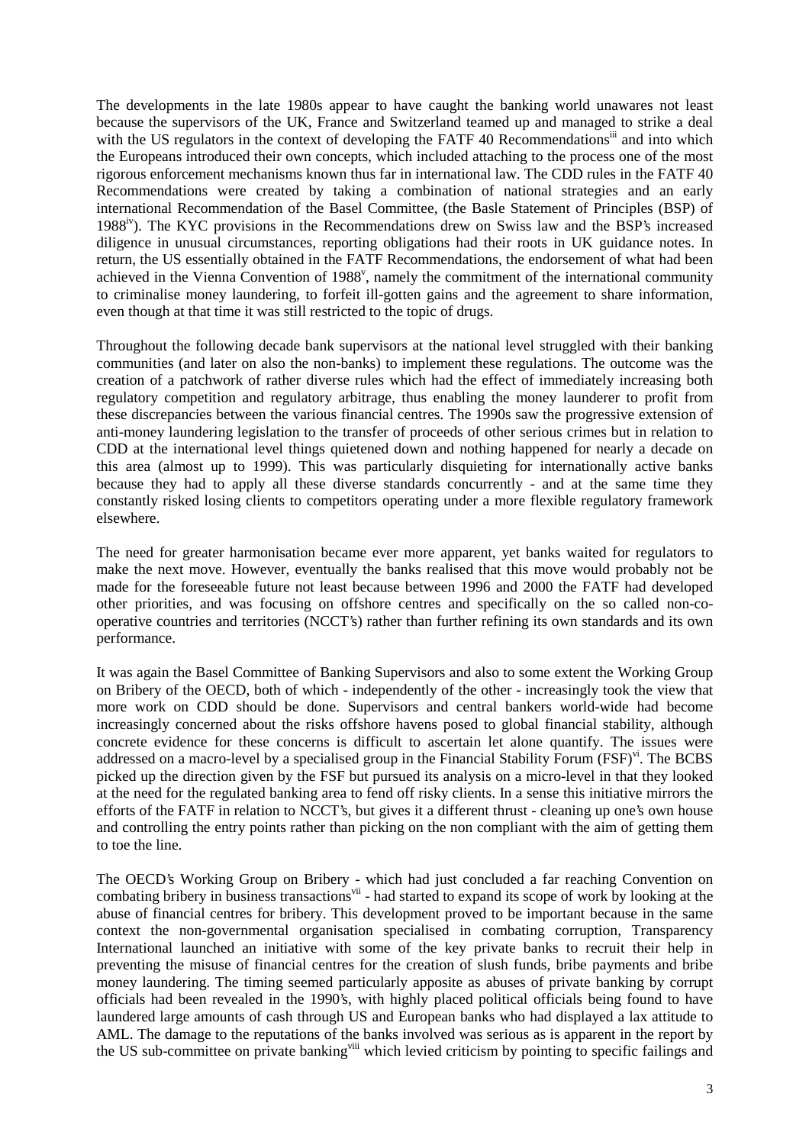The developments in the late 1980s appear to have caught the banking world unawares not least because the supervisors of the UK, France and Switzerland teamed up and managed to strike a deal with the US regulators in the context of developing the FATF 40 Recommendations<sup>iii</sup> and into which the Europeans introduced their own concepts, which included attaching to the process one of the most rigorous enforcement mechanisms known thus far in international law. The CDD rules in the FATF 40 Recommendations were created by taking a combination of national strategies and an early international Recommendation of the Basel Committee, (the Basle Statement of Principles (BSP) of 198[8iv\)](#page-7-0). The KYC provisions in the Recommendations drew on Swiss law and the BSP's increased diligence in unusual circumstances, reporting obligations had their roots in UK guidance notes. In return, the US essentially obtained in the FATF Recommendations, the endorsement of what had been achieved in the Vienna Convention of 1988<sup>v</sup>, namely the commitment of the international community to criminalise money laundering, to forfeit ill-gotten gains and the agreement to share information, even though at that time it was still restricted to the topic of drugs.

Throughout the following decade bank supervisors at the national level struggled with their banking communities (and later on also the non-banks) to implement these regulations. The outcome was the creation of a patchwork of rather diverse rules which had the effect of immediately increasing both regulatory competition and regulatory arbitrage, thus enabling the money launderer to profit from these discrepancies between the various financial centres. The 1990s saw the progressive extension of anti-money laundering legislation to the transfer of proceeds of other serious crimes but in relation to CDD at the international level things quietened down and nothing happened for nearly a decade on this area (almost up to 1999). This was particularly disquieting for internationally active banks because they had to apply all these diverse standards concurrently - and at the same time they constantly risked losing clients to competitors operating under a more flexible regulatory framework elsewhere.

The need for greater harmonisation became ever more apparent, yet banks waited for regulators to make the next move. However, eventually the banks realised that this move would probably not be made for the foreseeable future not least because between 1996 and 2000 the FATF had developed other priorities, and was focusing on offshore centres and specifically on the so called non-cooperative countries and territories (NCCT's) rather than further refining its own standards and its own performance.

It was again the Basel Committee of Banking Supervisors and also to some extent the Working Group on Bribery of the OECD, both of which - independently of the other - increasingly took the view that more work on CDD should be done. Supervisors and central bankers world-wide had become increasingly concerned about the risks offshore havens posed to global financial stability, although concrete evidence for these concerns is difficult to ascertain let alone quantify. The issues were addressed on a macro-level by a specialised group in the Financial Stability Forum (FSF)<sup>[vi](#page-7-0)</sup>. The BCBS picked up the direction given by the FSF but pursued its analysis on a micro-level in that they looked at the need for the regulated banking area to fend off risky clients. In a sense this initiative mirrors the efforts of the FATF in relation to NCCT's, but gives it a different thrust - cleaning up one's own house and controlling the entry points rather than picking on the non compliant with the aim of getting them to toe the line.

The OECD's Working Group on Bribery - which had just concluded a far reaching Convention on combating bribery in business transactions<sup>vii</sup> - had started to expand its scope of work by looking at the abuse of financial centres for bribery. This development proved to be important because in the same context the non-governmental organisation specialised in combating corruption, Transparency International launched an initiative with some of the key private banks to recruit their help in preventing the misuse of financial centres for the creation of slush funds, bribe payments and bribe money laundering. The timing seemed particularly apposite as abuses of private banking by corrupt officials had been revealed in the 1990's, with highly placed political officials being found to have laundered large amounts of cash through US and European banks who had displayed a lax attitude to AML. The damage to the reputations of the banks involved was serious as is apparent in the report by the US sub-committee on private bankin[gviii](#page-7-0) which levied criticism by pointing to specific failings and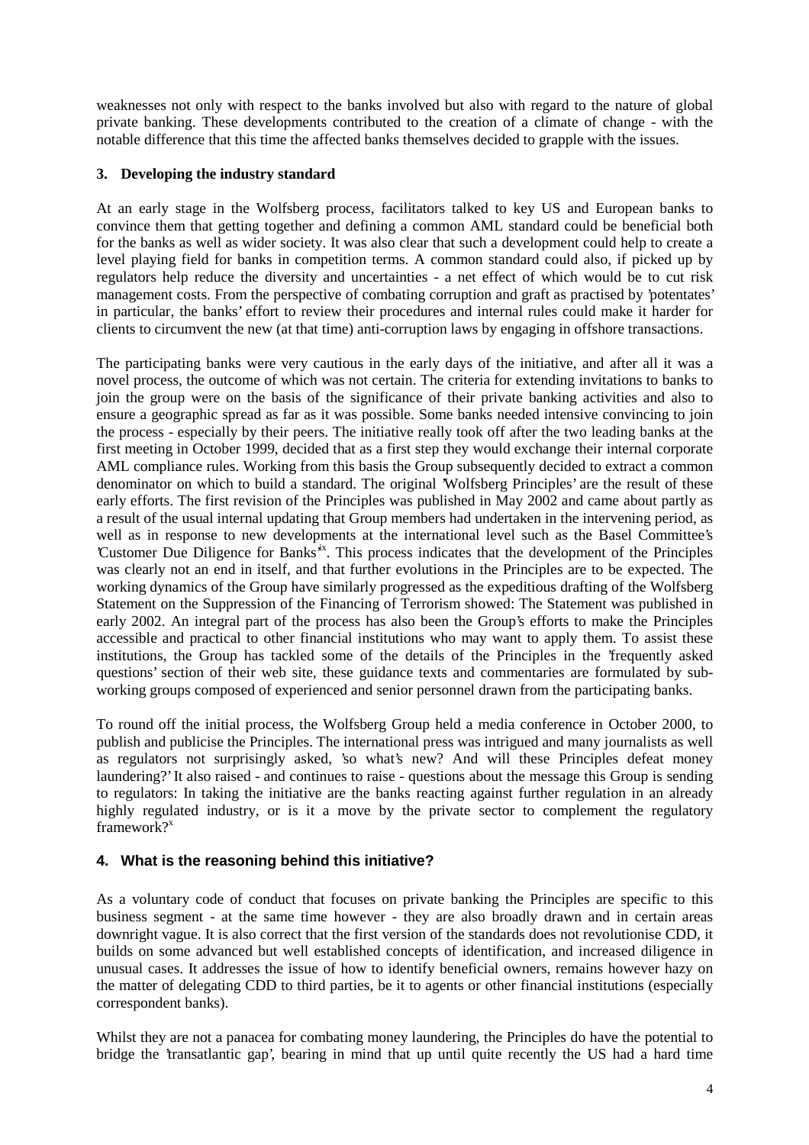weaknesses not only with respect to the banks involved but also with regard to the nature of global private banking. These developments contributed to the creation of a climate of change - with the notable difference that this time the affected banks themselves decided to grapple with the issues.

#### **3. Developing the industry standard**

At an early stage in the Wolfsberg process, facilitators talked to key US and European banks to convince them that getting together and defining a common AML standard could be beneficial both for the banks as well as wider society. It was also clear that such a development could help to create a level playing field for banks in competition terms. A common standard could also, if picked up by regulators help reduce the diversity and uncertainties - a net effect of which would be to cut risk management costs. From the perspective of combating corruption and graft as practised by 'potentates' in particular, the banks' effort to review their procedures and internal rules could make it harder for clients to circumvent the new (at that time) anti-corruption laws by engaging in offshore transactions.

The participating banks were very cautious in the early days of the initiative, and after all it was a novel process, the outcome of which was not certain. The criteria for extending invitations to banks to join the group were on the basis of the significance of their private banking activities and also to ensure a geographic spread as far as it was possible. Some banks needed intensive convincing to join the process - especially by their peers. The initiative really took off after the two leading banks at the first meeting in October 1999, decided that as a first step they would exchange their internal corporate AML compliance rules. Working from this basis the Group subsequently decided to extract a common denominator on which to build a standard. The original 'Wolfsberg Principles' are the result of these early efforts. The first revision of the Principles was published in May 2002 and came about partly as a result of the usual internal updating that Group members had undertaken in the intervening period, as well as in response to new developments at the international level such as the Basel Committee's 'Customer Due Diligence for Banks['ix](#page-7-0). This process indicates that the development of the Principles was clearly not an end in itself, and that further evolutions in the Principles are to be expected. The working dynamics of the Group have similarly progressed as the expeditious drafting of the Wolfsberg Statement on the Suppression of the Financing of Terrorism showed: The Statement was published in early 2002. An integral part of the process has also been the Group's efforts to make the Principles accessible and practical to other financial institutions who may want to apply them. To assist these institutions, the Group has tackled some of the details of the Principles in the 'frequently asked questions' section of their web site, these guidance texts and commentaries are formulated by subworking groups composed of experienced and senior personnel drawn from the participating banks.

To round off the initial process, the Wolfsberg Group held a media conference in October 2000, to publish and publicise the Principles. The international press was intrigued and many journalists as well as regulators not surprisingly asked, 'so what's new? And will these Principles defeat money laundering?' It also raised - and continues to raise - questions about the message this Group is sending to regulators: In taking the initiative are the banks reacting against further regulation in an already highly regulated industry, or is it a move by the private sector to complement the regulatory framework $2^x$  $2^x$ 

## **4. What is the reasoning behind this initiative?**

As a voluntary code of conduct that focuses on private banking the Principles are specific to this business segment - at the same time however - they are also broadly drawn and in certain areas downright vague. It is also correct that the first version of the standards does not revolutionise CDD, it builds on some advanced but well established concepts of identification, and increased diligence in unusual cases. It addresses the issue of how to identify beneficial owners, remains however hazy on the matter of delegating CDD to third parties, be it to agents or other financial institutions (especially correspondent banks).

Whilst they are not a panacea for combating money laundering, the Principles do have the potential to bridge the 'transatlantic gap', bearing in mind that up until quite recently the US had a hard time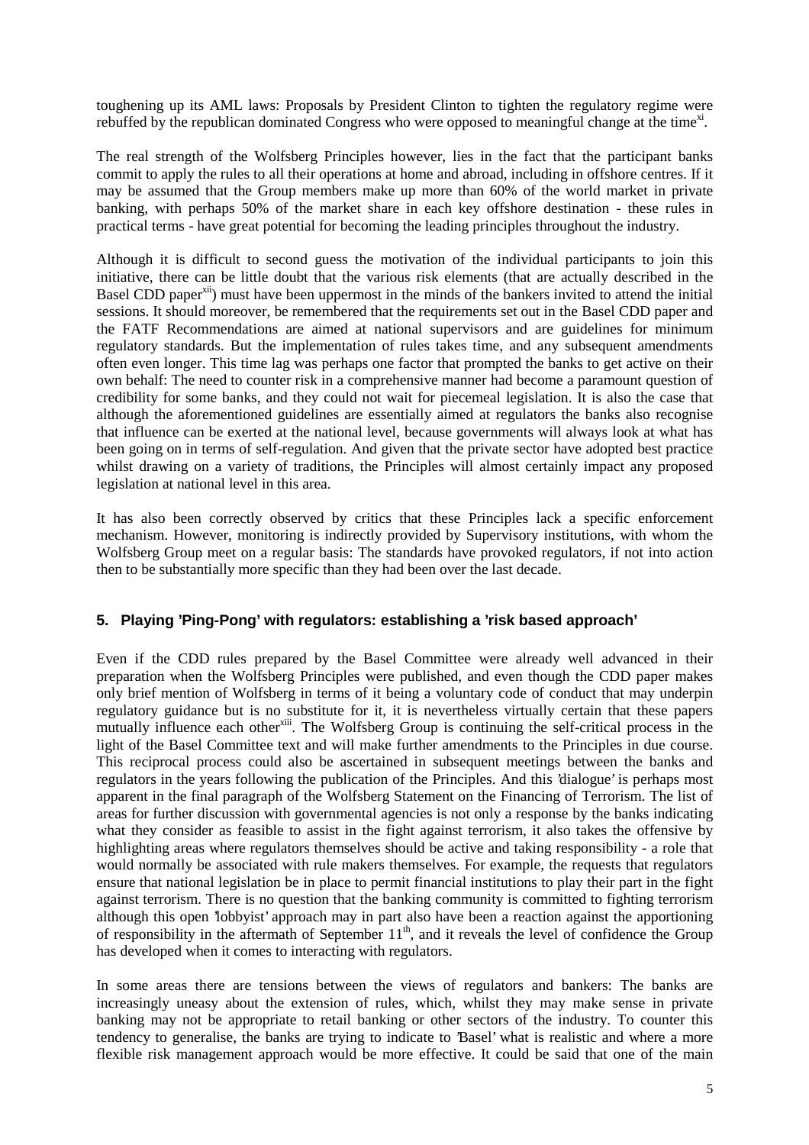toughening up its AML laws: Proposals by President Clinton to tighten the regulatory regime were rebuffed by the republican dominated Congress who were opposed to meaningful change at the time<sup>xi</sup>.

The real strength of the Wolfsberg Principles however, lies in the fact that the participant banks commit to apply the rules to all their operations at home and abroad, including in offshore centres. If it may be assumed that the Group members make up more than 60% of the world market in private banking, with perhaps 50% of the market share in each key offshore destination - these rules in practical terms - have great potential for becoming the leading principles throughout the industry.

Although it is difficult to second guess the motivation of the individual participants to join this initiative, there can be little doubt that the various risk elements (that are actually described in the Basel CDD paper<sup>xii</sup>) must have been uppermost in the minds of the bankers invited to attend the initial sessions. It should moreover, be remembered that the requirements set out in the Basel CDD paper and the FATF Recommendations are aimed at national supervisors and are guidelines for minimum regulatory standards. But the implementation of rules takes time, and any subsequent amendments often even longer. This time lag was perhaps one factor that prompted the banks to get active on their own behalf: The need to counter risk in a comprehensive manner had become a paramount question of credibility for some banks, and they could not wait for piecemeal legislation. It is also the case that although the aforementioned guidelines are essentially aimed at regulators the banks also recognise that influence can be exerted at the national level, because governments will always look at what has been going on in terms of self-regulation. And given that the private sector have adopted best practice whilst drawing on a variety of traditions, the Principles will almost certainly impact any proposed legislation at national level in this area.

It has also been correctly observed by critics that these Principles lack a specific enforcement mechanism. However, monitoring is indirectly provided by Supervisory institutions, with whom the Wolfsberg Group meet on a regular basis: The standards have provoked regulators, if not into action then to be substantially more specific than they had been over the last decade.

#### **5. Playing 'Ping-Pong' with regulators: establishing a 'risk based approach'**

Even if the CDD rules prepared by the Basel Committee were already well advanced in their preparation when the Wolfsberg Principles were published, and even though the CDD paper makes only brief mention of Wolfsberg in terms of it being a voluntary code of conduct that may underpin regulatory guidance but is no substitute for it, it is nevertheless virtually certain that these papers mutually influence each other<sup>xiii</sup>. The Wolfsberg Group is continuing the self-critical process in the light of the Basel Committee text and will make further amendments to the Principles in due course. This reciprocal process could also be ascertained in subsequent meetings between the banks and regulators in the years following the publication of the Principles. And this 'dialogue' is perhaps most apparent in the final paragraph of the Wolfsberg Statement on the Financing of Terrorism. The list of areas for further discussion with governmental agencies is not only a response by the banks indicating what they consider as feasible to assist in the fight against terrorism, it also takes the offensive by highlighting areas where regulators themselves should be active and taking responsibility - a role that would normally be associated with rule makers themselves. For example, the requests that regulators ensure that national legislation be in place to permit financial institutions to play their part in the fight against terrorism. There is no question that the banking community is committed to fighting terrorism although this open 'lobbyist' approach may in part also have been a reaction against the apportioning of responsibility in the aftermath of September  $11<sup>th</sup>$ , and it reveals the level of confidence the Group has developed when it comes to interacting with regulators.

In some areas there are tensions between the views of regulators and bankers: The banks are increasingly uneasy about the extension of rules, which, whilst they may make sense in private banking may not be appropriate to retail banking or other sectors of the industry. To counter this tendency to generalise, the banks are trying to indicate to 'Basel' what is realistic and where a more flexible risk management approach would be more effective. It could be said that one of the main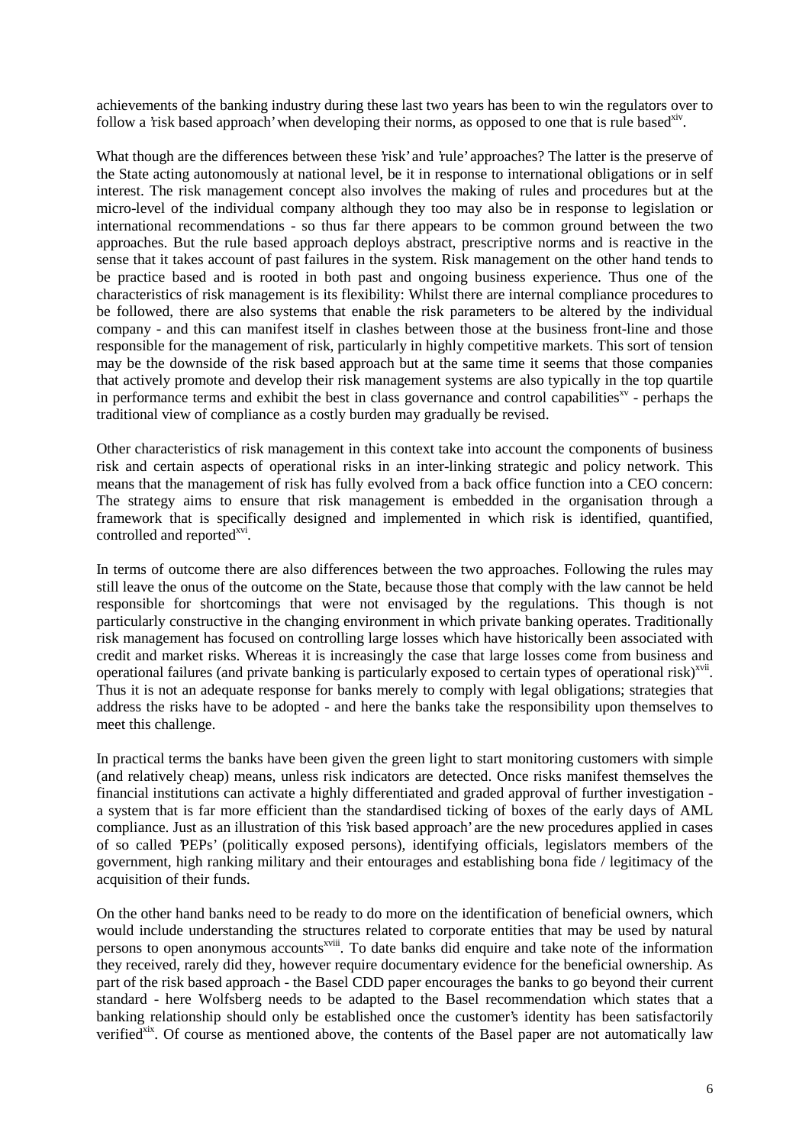achievements of the banking industry during these last two years has been to win the regulators over to follow a 'risk based approach' when developing their norms, as opposed to one that is rule based  $x^i$ .

What though are the differences between these 'risk' and 'rule' approaches? The latter is the preserve of the State acting autonomously at national level, be it in response to international obligations or in self interest. The risk management concept also involves the making of rules and procedures but at the micro-level of the individual company although they too may also be in response to legislation or international recommendations - so thus far there appears to be common ground between the two approaches. But the rule based approach deploys abstract, prescriptive norms and is reactive in the sense that it takes account of past failures in the system. Risk management on the other hand tends to be practice based and is rooted in both past and ongoing business experience. Thus one of the characteristics of risk management is its flexibility: Whilst there are internal compliance procedures to be followed, there are also systems that enable the risk parameters to be altered by the individual company - and this can manifest itself in clashes between those at the business front-line and those responsible for the management of risk, particularly in highly competitive markets. This sort of tension may be the downside of the risk based approach but at the same time it seems that those companies that actively promote and develop their risk management systems are also typically in the top quartile in performance terms and exhibit the best in class governance and control capabilities $x<sup>x<sub>y</sub></sup>$  - perhaps the traditional view of compliance as a costly burden may gradually be revised.

Other characteristics of risk management in this context take into account the components of business risk and certain aspects of operational risks in an inter-linking strategic and policy network. This means that the management of risk has fully evolved from a back office function into a CEO concern: The strategy aims to ensure that risk management is embedded in the organisation through a framework that is specifically designed and implemented in which risk is identified, quantified, controlled and reported<sup>xvi</sup>.

In terms of outcome there are also differences between the two approaches. Following the rules may still leave the onus of the outcome on the State, because those that comply with the law cannot be held responsible for shortcomings that were not envisaged by the regulations. This though is not particularly constructive in the changing environment in which private banking operates. Traditionally risk management has focused on controlling large losses which have historically been associated with credit and market risks. Whereas it is increasingly the case that large losses come from business and operational failures (and private banking is particularly exposed to certain types of operational risk) $x\text{vii}$ . Thus it is not an adequate response for banks merely to comply with legal obligations; strategies that address the risks have to be adopted - and here the banks take the responsibility upon themselves to meet this challenge.

In practical terms the banks have been given the green light to start monitoring customers with simple (and relatively cheap) means, unless risk indicators are detected. Once risks manifest themselves the financial institutions can activate a highly differentiated and graded approval of further investigation a system that is far more efficient than the standardised ticking of boxes of the early days of AML compliance. Just as an illustration of this 'risk based approach' are the new procedures applied in cases of so called 'PEPs' (politically exposed persons), identifying officials, legislators members of the government, high ranking military and their entourages and establishing bona fide / legitimacy of the acquisition of their funds.

On the other hand banks need to be ready to do more on the identification of beneficial owners, which would include understanding the structures related to corporate entities that may be used by natural persons to open anonymous accounts<sup>xviii</sup>. To date banks did enquire and take note of the information they received, rarely did they, however require documentary evidence for the beneficial ownership. As part of the risk based approach - the Basel CDD paper encourages the banks to go beyond their current standard - here Wolfsberg needs to be adapted to the Basel recommendation which states that a banking relationship should only be established once the customer's identity has been satisfactorily verified<sup>xix</sup>. Of course as mentioned above, the contents of the Basel paper are not automatically law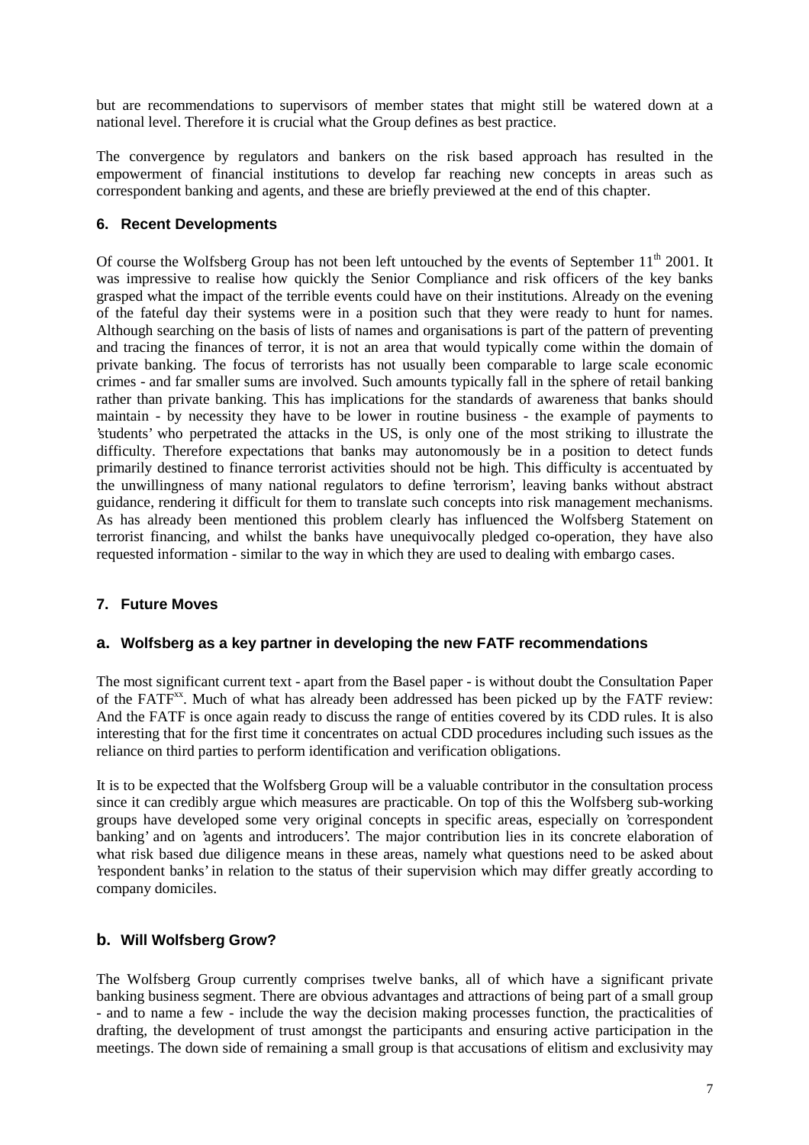but are recommendations to supervisors of member states that might still be watered down at a national level. Therefore it is crucial what the Group defines as best practice.

The convergence by regulators and bankers on the risk based approach has resulted in the empowerment of financial institutions to develop far reaching new concepts in areas such as correspondent banking and agents, and these are briefly previewed at the end of this chapter.

### **6. Recent Developments**

Of course the Wolfsberg Group has not been left untouched by the events of September  $11<sup>th</sup>$  2001. It was impressive to realise how quickly the Senior Compliance and risk officers of the key banks grasped what the impact of the terrible events could have on their institutions. Already on the evening of the fateful day their systems were in a position such that they were ready to hunt for names. Although searching on the basis of lists of names and organisations is part of the pattern of preventing and tracing the finances of terror, it is not an area that would typically come within the domain of private banking. The focus of terrorists has not usually been comparable to large scale economic crimes - and far smaller sums are involved. Such amounts typically fall in the sphere of retail banking rather than private banking. This has implications for the standards of awareness that banks should maintain - by necessity they have to be lower in routine business - the example of payments to 'students' who perpetrated the attacks in the US, is only one of the most striking to illustrate the difficulty. Therefore expectations that banks may autonomously be in a position to detect funds primarily destined to finance terrorist activities should not be high. This difficulty is accentuated by the unwillingness of many national regulators to define 'terrorism', leaving banks without abstract guidance, rendering it difficult for them to translate such concepts into risk management mechanisms. As has already been mentioned this problem clearly has influenced the Wolfsberg Statement on terrorist financing, and whilst the banks have unequivocally pledged co-operation, they have also requested information - similar to the way in which they are used to dealing with embargo cases.

#### **7. Future Moves**

#### **a. Wolfsberg as a key partner in developing the new FATF recommendations**

The most significant current text - apart from the Basel paper - is without doubt the Consultation Paper of the FATF<sup>xx</sup>. Much of what has already been addressed has been picked up by the FATF review: And the FATF is once again ready to discuss the range of entities covered by its CDD rules. It is also interesting that for the first time it concentrates on actual CDD procedures including such issues as the reliance on third parties to perform identification and verification obligations.

It is to be expected that the Wolfsberg Group will be a valuable contributor in the consultation process since it can credibly argue which measures are practicable. On top of this the Wolfsberg sub-working groups have developed some very original concepts in specific areas, especially on 'correspondent banking' and on 'agents and introducers'. The major contribution lies in its concrete elaboration of what risk based due diligence means in these areas, namely what questions need to be asked about 'respondent banks' in relation to the status of their supervision which may differ greatly according to company domiciles.

#### **b. Will Wolfsberg Grow?**

The Wolfsberg Group currently comprises twelve banks, all of which have a significant private banking business segment. There are obvious advantages and attractions of being part of a small group - and to name a few - include the way the decision making processes function, the practicalities of drafting, the development of trust amongst the participants and ensuring active participation in the meetings. The down side of remaining a small group is that accusations of elitism and exclusivity may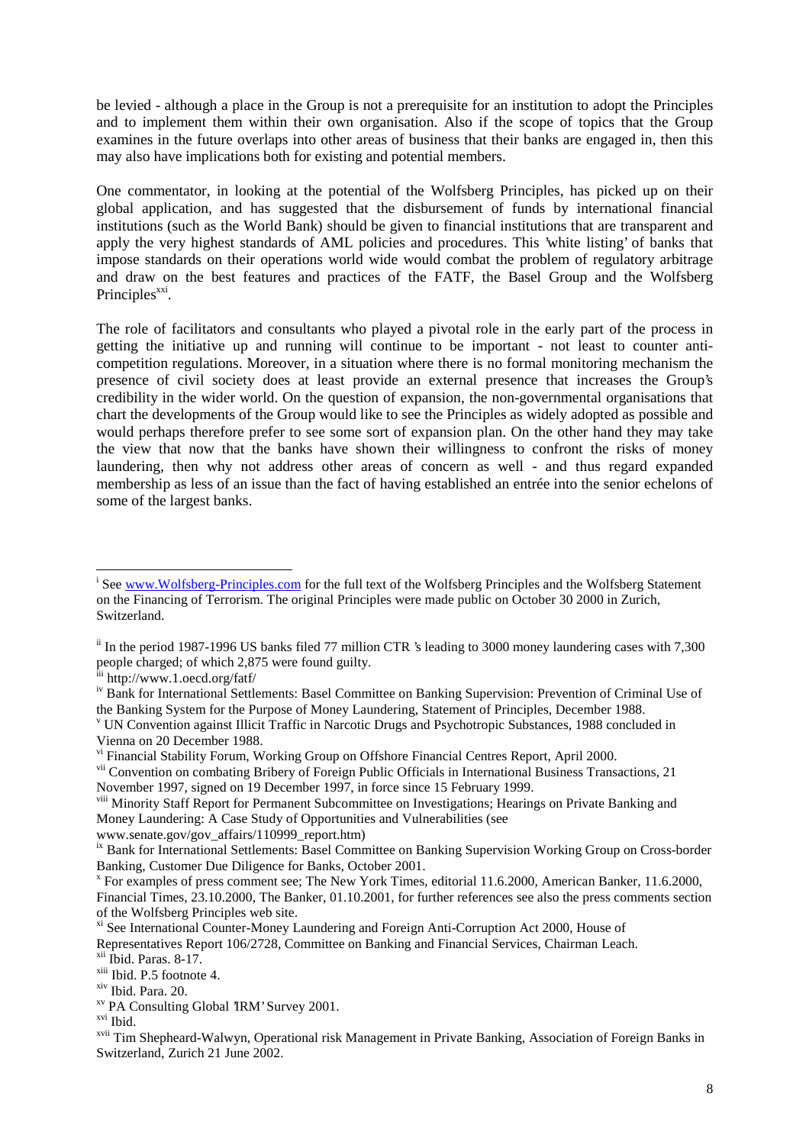<span id="page-7-0"></span>be levied - although a place in the Group is not a prerequisite for an institution to adopt the Principles and to implement them within their own organisation. Also if the scope of topics that the Group examines in the future overlaps into other areas of business that their banks are engaged in, then this may also have implications both for existing and potential members.

One commentator, in looking at the potential of the Wolfsberg Principles, has picked up on their global application, and has suggested that the disbursement of funds by international financial institutions (such as the World Bank) should be given to financial institutions that are transparent and apply the very highest standards of AML policies and procedures. This 'white listing' of banks that impose standards on their operations world wide would combat the problem of regulatory arbitrage and draw on the best features and practices of the FATF, the Basel Group and the Wolfsberg Principles $<sup>xxi</sup>$ .</sup>

The role of facilitators and consultants who played a pivotal role in the early part of the process in getting the initiative up and running will continue to be important - not least to counter anticompetition regulations. Moreover, in a situation where there is no formal monitoring mechanism the presence of civil society does at least provide an external presence that increases the Group's credibility in the wider world. On the question of expansion, the non-governmental organisations that chart the developments of the Group would like to see the Principles as widely adopted as possible and would perhaps therefore prefer to see some sort of expansion plan. On the other hand they may take the view that now that the banks have shown their willingness to confront the risks of money laundering, then why not address other areas of concern as well - and thus regard expanded membership as less of an issue than the fact of having established an entrée into the senior echelons of some of the largest banks.

- iii http://www.1.oecd.org/fatf/
- iv Bank for International Settlements: Basel Committee on Banking Supervision: Prevention of Criminal Use of the Banking System for the Purpose of Money Laundering, Statement of Principles, December 1988.

www.senate.gov/gov\_affairs/110999\_report.htm)

<sup>&</sup>lt;sup>i</sup> See [www.Wolfsberg-Principles.com](http://www.wolfsberg-principles.com/) for the full text of the Wolfsberg Principles and the Wolfsberg Statement on the Financing of Terrorism. The original Principles were made public on October 30 2000 in Zurich, Switzerland.

<sup>&</sup>lt;sup>ii</sup> In the period 1987-1996 US banks filed 77 million CTR 's leading to 3000 money laundering cases with 7,300 people charged; of which 2,875 were found guilty.

<sup>v</sup> UN Convention against Illicit Traffic in Narcotic Drugs and Psychotropic Substances, 1988 concluded in Vienna on 20 December 1988.

vi Financial Stability Forum, Working Group on Offshore Financial Centres Report, April 2000.

<sup>&</sup>lt;sup>vii</sup> Convention on combating Bribery of Foreign Public Officials in International Business Transactions, 21 November 1997, signed on 19 December 1997, in force since 15 February 1999.

viii Minority Staff Report for Permanent Subcommittee on Investigations; Hearings on Private Banking and Money Laundering: A Case Study of Opportunities and Vulnerabilities (see

<sup>&</sup>lt;sup>ix</sup> Bank for International Settlements: Basel Committee on Banking Supervision Working Group on Cross-border Banking, Customer Due Diligence for Banks, October 2001.

<sup>x</sup> For examples of press comment see; The New York Times, editorial 11.6.2000, American Banker, 11.6.2000, Financial Times, 23.10.2000, The Banker, 01.10.2001, for further references see also the press comments section of the Wolfsberg Principles web site.

xi See International Counter-Money Laundering and Foreign Anti-Corruption Act 2000, House of Representatives Report 106/2728, Committee on Banking and Financial Services, Chairman Leach.

xii Ibid. Paras. 8-17.

 $\frac{x}{10}$  Ibid. P.5 footnote 4.<br> $\frac{x}{10}$  Ibid. Para. 20.

 $XV$ <sup>xv</sup> PA Consulting Global 'IRM' Survey 2001.

xvi Ibid.

xvii Tim Shepheard-Walwyn, Operational risk Management in Private Banking, Association of Foreign Banks in Switzerland, Zurich 21 June 2002.